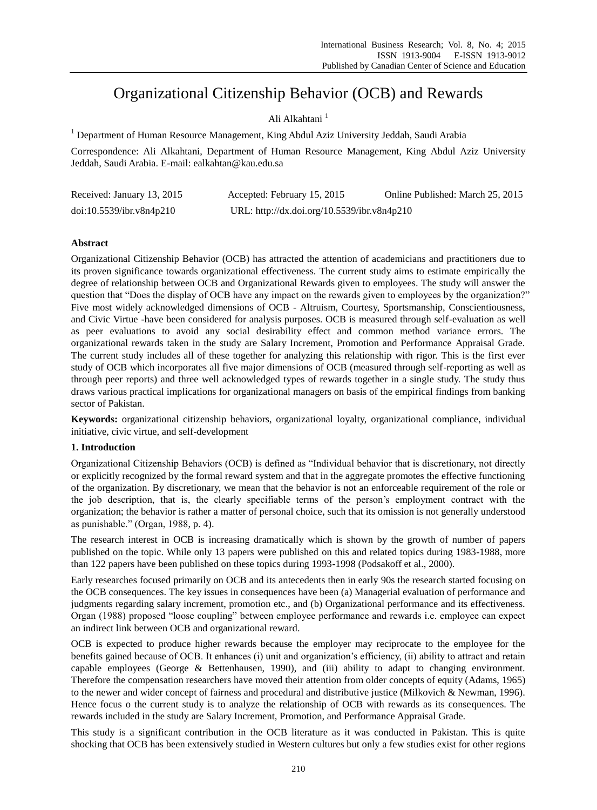# Organizational Citizenship Behavior (OCB) and Rewards

## Ali Alkahtani <sup>1</sup>

<sup>1</sup> Department of Human Resource Management, King Abdul Aziz University Jeddah, Saudi Arabia

Correspondence: Ali Alkahtani, Department of Human Resource Management, King Abdul Aziz University Jeddah, Saudi Arabia. E-mail: ealkahtan@kau.edu.sa

| Received: January 13, 2015 | Accepted: February 15, 2015                 | Online Published: March 25, 2015 |
|----------------------------|---------------------------------------------|----------------------------------|
| doi:10.5539/ibr.v8n4p210   | URL: http://dx.doi.org/10.5539/ibr.v8n4p210 |                                  |

## **Abstract**

Organizational Citizenship Behavior (OCB) has attracted the attention of academicians and practitioners due to its proven significance towards organizational effectiveness. The current study aims to estimate empirically the degree of relationship between OCB and Organizational Rewards given to employees. The study will answer the question that "Does the display of OCB have any impact on the rewards given to employees by the organization?" Five most widely acknowledged dimensions of OCB - Altruism, Courtesy, Sportsmanship, Conscientiousness, and Civic Virtue -have been considered for analysis purposes. OCB is measured through self-evaluation as well as peer evaluations to avoid any social desirability effect and common method variance errors. The organizational rewards taken in the study are Salary Increment, Promotion and Performance Appraisal Grade. The current study includes all of these together for analyzing this relationship with rigor. This is the first ever study of OCB which incorporates all five major dimensions of OCB (measured through self-reporting as well as through peer reports) and three well acknowledged types of rewards together in a single study. The study thus draws various practical implications for organizational managers on basis of the empirical findings from banking sector of Pakistan.

**Keywords:** organizational citizenship behaviors, organizational loyalty, organizational compliance, individual initiative, civic virtue, and self-development

#### **1. Introduction**

Organizational Citizenship Behaviors (OCB) is defined as "Individual behavior that is discretionary, not directly or explicitly recognized by the formal reward system and that in the aggregate promotes the effective functioning of the organization. By discretionary, we mean that the behavior is not an enforceable requirement of the role or the job description, that is, the clearly specifiable terms of the person"s employment contract with the organization; the behavior is rather a matter of personal choice, such that its omission is not generally understood as punishable." (Organ, 1988, p. 4).

The research interest in OCB is increasing dramatically which is shown by the growth of number of papers published on the topic. While only 13 papers were published on this and related topics during 1983-1988, more than 122 papers have been published on these topics during 1993-1998 (Podsakoff et al., 2000).

Early researches focused primarily on OCB and its antecedents then in early 90s the research started focusing on the OCB consequences. The key issues in consequences have been (a) Managerial evaluation of performance and judgments regarding salary increment, promotion etc., and (b) Organizational performance and its effectiveness. Organ (1988) proposed "loose coupling" between employee performance and rewards i.e. employee can expect an indirect link between OCB and organizational reward.

OCB is expected to produce higher rewards because the employer may reciprocate to the employee for the benefits gained because of OCB. It enhances (i) unit and organization"s efficiency, (ii) ability to attract and retain capable employees (George & Bettenhausen, 1990), and (iii) ability to adapt to changing environment. Therefore the compensation researchers have moved their attention from older concepts of equity (Adams, 1965) to the newer and wider concept of fairness and procedural and distributive justice (Milkovich & Newman, 1996). Hence focus o the current study is to analyze the relationship of OCB with rewards as its consequences. The rewards included in the study are Salary Increment, Promotion, and Performance Appraisal Grade.

This study is a significant contribution in the OCB literature as it was conducted in Pakistan. This is quite shocking that OCB has been extensively studied in Western cultures but only a few studies exist for other regions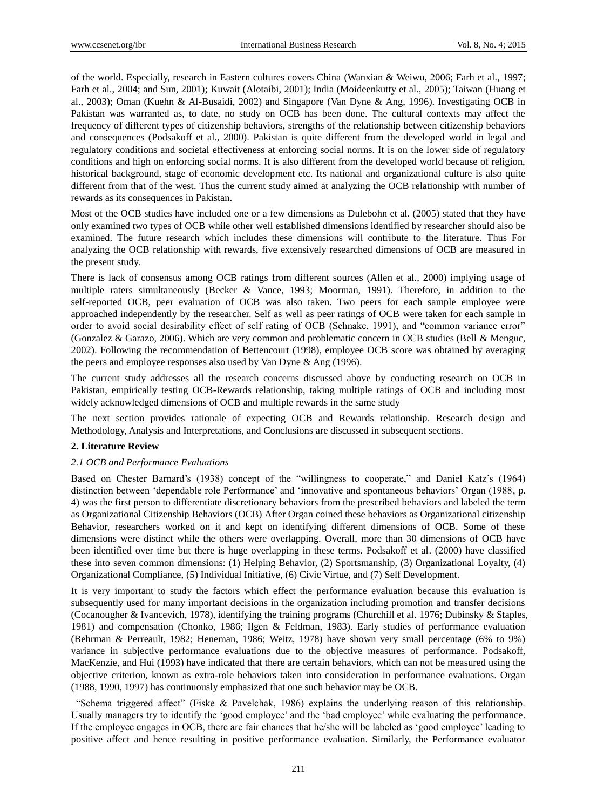of the world. Especially, research in Eastern cultures covers China (Wanxian & Weiwu, 2006; Farh et al., 1997; Farh et al., 2004; and Sun, 2001); Kuwait (Alotaibi, 2001); India (Moideenkutty et al., 2005); Taiwan (Huang et al., 2003); Oman (Kuehn & Al-Busaidi, 2002) and Singapore (Van Dyne & Ang, 1996). Investigating OCB in Pakistan was warranted as, to date, no study on OCB has been done. The cultural contexts may affect the frequency of different types of citizenship behaviors, strengths of the relationship between citizenship behaviors and consequences (Podsakoff et al., 2000). Pakistan is quite different from the developed world in legal and regulatory conditions and societal effectiveness at enforcing social norms. It is on the lower side of regulatory conditions and high on enforcing social norms. It is also different from the developed world because of religion, historical background, stage of economic development etc. Its national and organizational culture is also quite different from that of the west. Thus the current study aimed at analyzing the OCB relationship with number of rewards as its consequences in Pakistan.

Most of the OCB studies have included one or a few dimensions as Dulebohn et al. (2005) stated that they have only examined two types of OCB while other well established dimensions identified by researcher should also be examined. The future research which includes these dimensions will contribute to the literature. Thus For analyzing the OCB relationship with rewards, five extensively researched dimensions of OCB are measured in the present study.

There is lack of consensus among OCB ratings from different sources (Allen et al., 2000) implying usage of multiple raters simultaneously (Becker & Vance, 1993; Moorman, 1991). Therefore, in addition to the self-reported OCB, peer evaluation of OCB was also taken. Two peers for each sample employee were approached independently by the researcher. Self as well as peer ratings of OCB were taken for each sample in order to avoid social desirability effect of self rating of OCB (Schnake, 1991), and "common variance error" (Gonzalez & Garazo, 2006). Which are very common and problematic concern in OCB studies (Bell & Menguc, 2002). Following the recommendation of Bettencourt (1998), employee OCB score was obtained by averaging the peers and employee responses also used by Van Dyne & Ang (1996).

The current study addresses all the research concerns discussed above by conducting research on OCB in Pakistan, empirically testing OCB-Rewards relationship, taking multiple ratings of OCB and including most widely acknowledged dimensions of OCB and multiple rewards in the same study

The next section provides rationale of expecting OCB and Rewards relationship. Research design and Methodology, Analysis and Interpretations, and Conclusions are discussed in subsequent sections.

#### **2. Literature Review**

#### *2.1 OCB and Performance Evaluations*

Based on Chester Barnard's (1938) concept of the "willingness to cooperate," and Daniel Katz's (1964) distinction between 'dependable role Performance' and 'innovative and spontaneous behaviors' Organ (1988, p. 4) was the first person to differentiate discretionary behaviors from the prescribed behaviors and labeled the term as Organizational Citizenship Behaviors (OCB) After Organ coined these behaviors as Organizational citizenship Behavior, researchers worked on it and kept on identifying different dimensions of OCB. Some of these dimensions were distinct while the others were overlapping. Overall, more than 30 dimensions of OCB have been identified over time but there is huge overlapping in these terms. Podsakoff et al. (2000) have classified these into seven common dimensions: (1) Helping Behavior, (2) Sportsmanship, (3) Organizational Loyalty, (4) Organizational Compliance, (5) Individual Initiative, (6) Civic Virtue, and (7) Self Development.

It is very important to study the factors which effect the performance evaluation because this evaluation is subsequently used for many important decisions in the organization including promotion and transfer decisions (Cocanougher & Ivancevich, 1978), identifying the training programs (Churchill et al. 1976; Dubinsky & Staples, 1981) and compensation (Chonko, 1986; Ilgen & Feldman, 1983). Early studies of performance evaluation (Behrman & Perreault, 1982; Heneman, 1986; Weitz, 1978) have shown very small percentage (6% to 9%) variance in subjective performance evaluations due to the objective measures of performance. Podsakoff, MacKenzie, and Hui (1993) have indicated that there are certain behaviors, which can not be measured using the objective criterion, known as extra-role behaviors taken into consideration in performance evaluations. Organ (1988, 1990, 1997) has continuously emphasized that one such behavior may be OCB.

"Schema triggered affect" (Fiske & Pavelchak, 1986) explains the underlying reason of this relationship. Usually managers try to identify the "good employee" and the "bad employee" while evaluating the performance. If the employee engages in OCB, there are fair chances that he/she will be labeled as "good employee" leading to positive affect and hence resulting in positive performance evaluation. Similarly, the Performance evaluator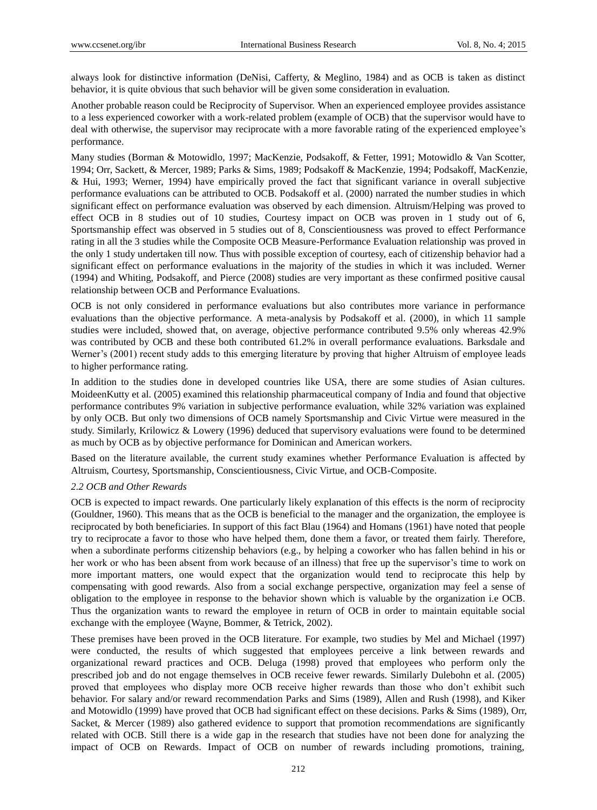always look for distinctive information (DeNisi, Cafferty, & Meglino, 1984) and as OCB is taken as distinct behavior, it is quite obvious that such behavior will be given some consideration in evaluation.

Another probable reason could be Reciprocity of Supervisor. When an experienced employee provides assistance to a less experienced coworker with a work-related problem (example of OCB) that the supervisor would have to deal with otherwise, the supervisor may reciprocate with a more favorable rating of the experienced employee's performance.

Many studies (Borman & Motowidlo, 1997; MacKenzie, Podsakoff, & Fetter, 1991; Motowidlo & Van Scotter, 1994; Orr, Sackett, & Mercer, 1989; Parks & Sims, 1989; Podsakoff & MacKenzie, 1994; Podsakoff, MacKenzie, & Hui, 1993; Werner, 1994) have empirically proved the fact that significant variance in overall subjective performance evaluations can be attributed to OCB. Podsakoff et al. (2000) narrated the number studies in which significant effect on performance evaluation was observed by each dimension. Altruism/Helping was proved to effect OCB in 8 studies out of 10 studies, Courtesy impact on OCB was proven in 1 study out of 6, Sportsmanship effect was observed in 5 studies out of 8, Conscientiousness was proved to effect Performance rating in all the 3 studies while the Composite OCB Measure-Performance Evaluation relationship was proved in the only 1 study undertaken till now. Thus with possible exception of courtesy, each of citizenship behavior had a significant effect on performance evaluations in the majority of the studies in which it was included. Werner (1994) and Whiting, Podsakoff, and Pierce (2008) studies are very important as these confirmed positive causal relationship between OCB and Performance Evaluations.

OCB is not only considered in performance evaluations but also contributes more variance in performance evaluations than the objective performance. A meta-analysis by Podsakoff et al. (2000), in which 11 sample studies were included, showed that, on average, objective performance contributed 9.5% only whereas 42.9% was contributed by OCB and these both contributed 61.2% in overall performance evaluations. Barksdale and Werner's (2001) recent study adds to this emerging literature by proving that higher Altruism of employee leads to higher performance rating.

In addition to the studies done in developed countries like USA, there are some studies of Asian cultures. MoideenKutty et al. (2005) examined this relationship pharmaceutical company of India and found that objective performance contributes 9% variation in subjective performance evaluation, while 32% variation was explained by only OCB. But only two dimensions of OCB namely Sportsmanship and Civic Virtue were measured in the study. Similarly, Krilowicz & Lowery (1996) deduced that supervisory evaluations were found to be determined as much by OCB as by objective performance for Dominican and American workers.

Based on the literature available, the current study examines whether Performance Evaluation is affected by Altruism, Courtesy, Sportsmanship, Conscientiousness, Civic Virtue, and OCB-Composite.

#### *2.2 OCB and Other Rewards*

OCB is expected to impact rewards. One particularly likely explanation of this effects is the norm of reciprocity (Gouldner, 1960). This means that as the OCB is beneficial to the manager and the organization, the employee is reciprocated by both beneficiaries. In support of this fact Blau (1964) and Homans (1961) have noted that people try to reciprocate a favor to those who have helped them, done them a favor, or treated them fairly. Therefore, when a subordinate performs citizenship behaviors (e.g., by helping a coworker who has fallen behind in his or her work or who has been absent from work because of an illness) that free up the supervisor's time to work on more important matters, one would expect that the organization would tend to reciprocate this help by compensating with good rewards. Also from a social exchange perspective, organization may feel a sense of obligation to the employee in response to the behavior shown which is valuable by the organization i.e OCB. Thus the organization wants to reward the employee in return of OCB in order to maintain equitable social exchange with the employee (Wayne, Bommer, & Tetrick, 2002).

These premises have been proved in the OCB literature. For example, two studies by Mel and Michael (1997) were conducted, the results of which suggested that employees perceive a link between rewards and organizational reward practices and OCB. Deluga (1998) proved that employees who perform only the prescribed job and do not engage themselves in OCB receive fewer rewards. Similarly Dulebohn et al. (2005) proved that employees who display more OCB receive higher rewards than those who don"t exhibit such behavior. For salary and/or reward recommendation Parks and Sims (1989), Allen and Rush (1998), and Kiker and Motowidlo (1999) have proved that OCB had significant effect on these decisions. Parks & Sims (1989), Orr, Sacket, & Mercer (1989) also gathered evidence to support that promotion recommendations are significantly related with OCB. Still there is a wide gap in the research that studies have not been done for analyzing the impact of OCB on Rewards. Impact of OCB on number of rewards including promotions, training,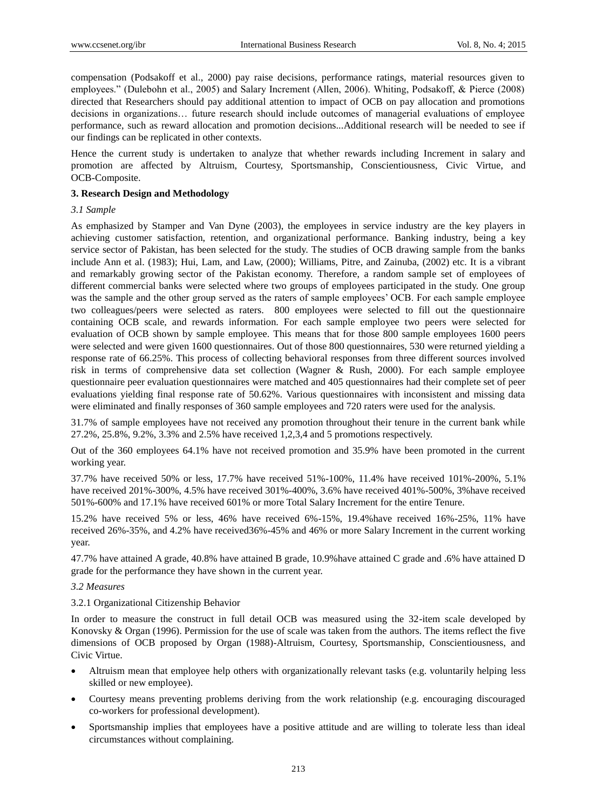compensation (Podsakoff et al., 2000) pay raise decisions, performance ratings, material resources given to employees." (Dulebohn et al., 2005) and Salary Increment (Allen, 2006). Whiting, Podsakoff, & Pierce (2008) directed that Researchers should pay additional attention to impact of OCB on pay allocation and promotions decisions in organizations… future research should include outcomes of managerial evaluations of employee performance, such as reward allocation and promotion decisions...Additional research will be needed to see if our findings can be replicated in other contexts.

Hence the current study is undertaken to analyze that whether rewards including Increment in salary and promotion are affected by Altruism, Courtesy, Sportsmanship, Conscientiousness, Civic Virtue, and OCB-Composite.

### **3. Research Design and Methodology**

#### *3.1 Sample*

As emphasized by Stamper and Van Dyne (2003), the employees in service industry are the key players in achieving customer satisfaction, retention, and organizational performance. Banking industry, being a key service sector of Pakistan, has been selected for the study. The studies of OCB drawing sample from the banks include Ann et al. (1983); Hui, Lam, and Law, (2000); Williams, Pitre, and Zainuba, (2002) etc. It is a vibrant and remarkably growing sector of the Pakistan economy. Therefore, a random sample set of employees of different commercial banks were selected where two groups of employees participated in the study. One group was the sample and the other group served as the raters of sample employees' OCB. For each sample employee two colleagues/peers were selected as raters. 800 employees were selected to fill out the questionnaire containing OCB scale, and rewards information. For each sample employee two peers were selected for evaluation of OCB shown by sample employee. This means that for those 800 sample employees 1600 peers were selected and were given 1600 questionnaires. Out of those 800 questionnaires, 530 were returned yielding a response rate of 66.25%. This process of collecting behavioral responses from three different sources involved risk in terms of comprehensive data set collection (Wagner & Rush, 2000). For each sample employee questionnaire peer evaluation questionnaires were matched and 405 questionnaires had their complete set of peer evaluations yielding final response rate of 50.62%. Various questionnaires with inconsistent and missing data were eliminated and finally responses of 360 sample employees and 720 raters were used for the analysis.

31.7% of sample employees have not received any promotion throughout their tenure in the current bank while 27.2%, 25.8%, 9.2%, 3.3% and 2.5% have received 1,2,3,4 and 5 promotions respectively.

Out of the 360 employees 64.1% have not received promotion and 35.9% have been promoted in the current working year.

37.7% have received 50% or less, 17.7% have received 51%-100%, 11.4% have received 101%-200%, 5.1% have received 201%-300%, 4.5% have received 301%-400%, 3.6% have received 401%-500%, 3%have received 501%-600% and 17.1% have received 601% or more Total Salary Increment for the entire Tenure.

15.2% have received 5% or less, 46% have received 6%-15%, 19.4%have received 16%-25%, 11% have received 26%-35%, and 4.2% have received36%-45% and 46% or more Salary Increment in the current working year.

47.7% have attained A grade, 40.8% have attained B grade, 10.9%have attained C grade and .6% have attained D grade for the performance they have shown in the current year.

#### *3.2 Measures*

#### 3.2.1 Organizational Citizenship Behavior

In order to measure the construct in full detail OCB was measured using the 32-item scale developed by Konovsky  $&$  Organ (1996). Permission for the use of scale was taken from the authors. The items reflect the five dimensions of OCB proposed by Organ (1988)-Altruism, Courtesy, Sportsmanship, Conscientiousness, and Civic Virtue.

- Altruism mean that employee help others with organizationally relevant tasks (e.g. voluntarily helping less skilled or new employee).
- Courtesy means preventing problems deriving from the work relationship (e.g. encouraging discouraged co-workers for professional development).
- Sportsmanship implies that employees have a positive attitude and are willing to tolerate less than ideal circumstances without complaining.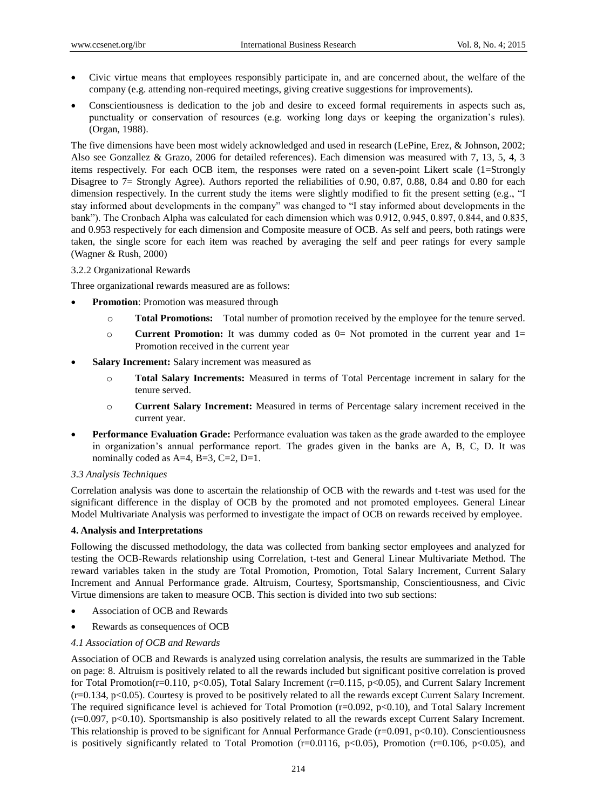- Civic virtue means that employees responsibly participate in, and are concerned about, the welfare of the company (e.g. attending non-required meetings, giving creative suggestions for improvements).
- Conscientiousness is dedication to the job and desire to exceed formal requirements in aspects such as, punctuality or conservation of resources (e.g. working long days or keeping the organization"s rules). (Organ, 1988).

The five dimensions have been most widely acknowledged and used in research (LePine, Erez, & Johnson, 2002; Also see Gonzallez & Grazo, 2006 for detailed references). Each dimension was measured with 7, 13, 5, 4, 3 items respectively. For each OCB item, the responses were rated on a seven-point Likert scale (1=Strongly Disagree to 7= Strongly Agree). Authors reported the reliabilities of 0.90, 0.87, 0.88, 0.84 and 0.80 for each dimension respectively. In the current study the items were slightly modified to fit the present setting (e.g., "I stay informed about developments in the company" was changed to "I stay informed about developments in the bank"). The Cronbach Alpha was calculated for each dimension which was 0.912, 0.945, 0.897, 0.844, and 0.835, and 0.953 respectively for each dimension and Composite measure of OCB. As self and peers, both ratings were taken, the single score for each item was reached by averaging the self and peer ratings for every sample (Wagner & Rush, 2000)

#### 3.2.2 Organizational Rewards

Three organizational rewards measured are as follows:

- **Promotion**: Promotion was measured through
	- o **Total Promotions:** Total number of promotion received by the employee for the tenure served.
	- o **Current Promotion:** It was dummy coded as 0= Not promoted in the current year and 1= Promotion received in the current year
- **Salary Increment:** Salary increment was measured as
	- o **Total Salary Increments:** Measured in terms of Total Percentage increment in salary for the tenure served.
	- o **Current Salary Increment:** Measured in terms of Percentage salary increment received in the current year.
- **Performance Evaluation Grade:** Performance evaluation was taken as the grade awarded to the employee in organization"s annual performance report. The grades given in the banks are A, B, C, D. It was nominally coded as A=4, B=3, C=2, D=1.

#### *3.3 Analysis Techniques*

Correlation analysis was done to ascertain the relationship of OCB with the rewards and t-test was used for the significant difference in the display of OCB by the promoted and not promoted employees. General Linear Model Multivariate Analysis was performed to investigate the impact of OCB on rewards received by employee.

#### **4. Analysis and Interpretations**

Following the discussed methodology, the data was collected from banking sector employees and analyzed for testing the OCB-Rewards relationship using Correlation, t-test and General Linear Multivariate Method. The reward variables taken in the study are Total Promotion, Promotion, Total Salary Increment, Current Salary Increment and Annual Performance grade. Altruism, Courtesy, Sportsmanship, Conscientiousness, and Civic Virtue dimensions are taken to measure OCB. This section is divided into two sub sections:

- Association of OCB and Rewards
- Rewards as consequences of OCB

#### *4.1 Association of OCB and Rewards*

Association of OCB and Rewards is analyzed using correlation analysis, the results are summarized in the Table on page: 8. Altruism is positively related to all the rewards included but significant positive correlation is proved for Total Promotion(r=0.110, p<0.05), Total Salary Increment (r=0.115, p<0.05), and Current Salary Increment (r=0.134, p<0.05). Courtesy is proved to be positively related to all the rewards except Current Salary Increment. The required significance level is achieved for Total Promotion  $(r=0.092, p<0.10)$ , and Total Salary Increment  $(r=0.097, p<0.10)$ . Sportsmanship is also positively related to all the rewards except Current Salary Increment. This relationship is proved to be significant for Annual Performance Grade (r=0.091, p<0.10). Conscientiousness is positively significantly related to Total Promotion ( $r=0.0116$ ,  $p<0.05$ ), Promotion ( $r=0.106$ ,  $p<0.05$ ), and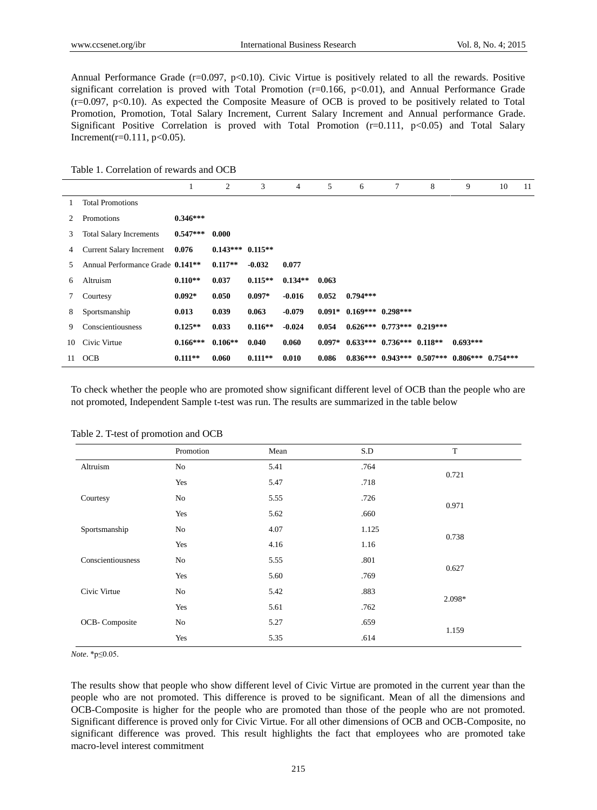Annual Performance Grade ( $r=0.097$ ,  $p<0.10$ ). Civic Virtue is positively related to all the rewards. Positive significant correlation is proved with Total Promotion  $(r=0.166, p<0.01)$ , and Annual Performance Grade  $(r=0.097, p<0.10)$ . As expected the Composite Measure of OCB is proved to be positively related to Total Promotion, Promotion, Total Salary Increment, Current Salary Increment and Annual performance Grade. Significant Positive Correlation is proved with Total Promotion  $(r=0.111, p<0.05)$  and Total Salary Increment(r=0.111, p<0.05).

Table 1. Correlation of rewards and OCB

|    |                                              |            | 2                    | 3         | $\overline{4}$ | 5        | 6                               | 7                                | 8 | 9                     | 10 | 11 |
|----|----------------------------------------------|------------|----------------------|-----------|----------------|----------|---------------------------------|----------------------------------|---|-----------------------|----|----|
|    | <b>Total Promotions</b>                      |            |                      |           |                |          |                                 |                                  |   |                       |    |    |
| 2  | Promotions                                   | $0.346***$ |                      |           |                |          |                                 |                                  |   |                       |    |    |
| 3  | <b>Total Salary Increments</b>               | $0.547***$ | 0.000                |           |                |          |                                 |                                  |   |                       |    |    |
| 4  | Current Salary Increment                     | 0.076      | $0.143***$ $0.115**$ |           |                |          |                                 |                                  |   |                       |    |    |
| 5. | Annual Performance Grade 0.141 <sup>**</sup> |            | $0.117**$            | $-0.032$  | 0.077          |          |                                 |                                  |   |                       |    |    |
| 6  | Altruism                                     | $0.110**$  | 0.037                | $0.115**$ | $0.134**$      | 0.063    |                                 |                                  |   |                       |    |    |
| 7  | Courtesy                                     | $0.092*$   | 0.050                | $0.097*$  | $-0.016$       | 0.052    | $0.794***$                      |                                  |   |                       |    |    |
| 8  | Sportsmanship                                | 0.013      | 0.039                | 0.063     | $-0.079$       |          | $0.091*$ $0.169***$ $0.298***$  |                                  |   |                       |    |    |
| 9  | Conscientiousness                            | $0.125**$  | 0.033                | $0.116**$ | $-0.024$       | 0.054    |                                 | $0.626***$ $0.773***$ $0.219***$ |   |                       |    |    |
| 10 | Civic Virtue                                 | $0.166***$ | $0.106**$            | 0.040     | 0.060          | $0.097*$ | $0.633***$ $0.736***$ $0.118**$ |                                  |   | $0.693***$            |    |    |
|    | 11 OCB                                       | $0.111**$  | 0.060                | $0.111**$ | 0.010          | 0.086    |                                 | $0.836***$ $0.943***$ $0.507***$ |   | $0.806***$ $0.754***$ |    |    |

To check whether the people who are promoted show significant different level of OCB than the people who are not promoted, Independent Sample t-test was run. The results are summarized in the table below

| л.                |           |      |       |        |  |
|-------------------|-----------|------|-------|--------|--|
|                   | Promotion | Mean | S.D   | T      |  |
| Altruism          | No        | 5.41 | .764  | 0.721  |  |
|                   | Yes       | 5.47 | .718  |        |  |
| Courtesy          | No        | 5.55 | .726  | 0.971  |  |
|                   | Yes       | 5.62 | .660  |        |  |
| Sportsmanship     | No        | 4.07 | 1.125 |        |  |
|                   | Yes       | 4.16 | 1.16  | 0.738  |  |
| Conscientiousness | No        | 5.55 | .801  |        |  |
|                   | Yes       | 5.60 | .769  | 0.627  |  |
| Civic Virtue      | No        | 5.42 | .883  |        |  |
|                   | Yes       | 5.61 | .762  | 2.098* |  |
| OCB-Composite     | No        | 5.27 | .659  |        |  |
|                   | Yes       | 5.35 | .614  | 1.159  |  |
|                   |           |      |       |        |  |

Table 2. T-test of promotion and OCB

*Note*. \*p≤0.05.

The results show that people who show different level of Civic Virtue are promoted in the current year than the people who are not promoted. This difference is proved to be significant. Mean of all the dimensions and OCB-Composite is higher for the people who are promoted than those of the people who are not promoted. Significant difference is proved only for Civic Virtue. For all other dimensions of OCB and OCB-Composite, no significant difference was proved. This result highlights the fact that employees who are promoted take macro-level interest commitment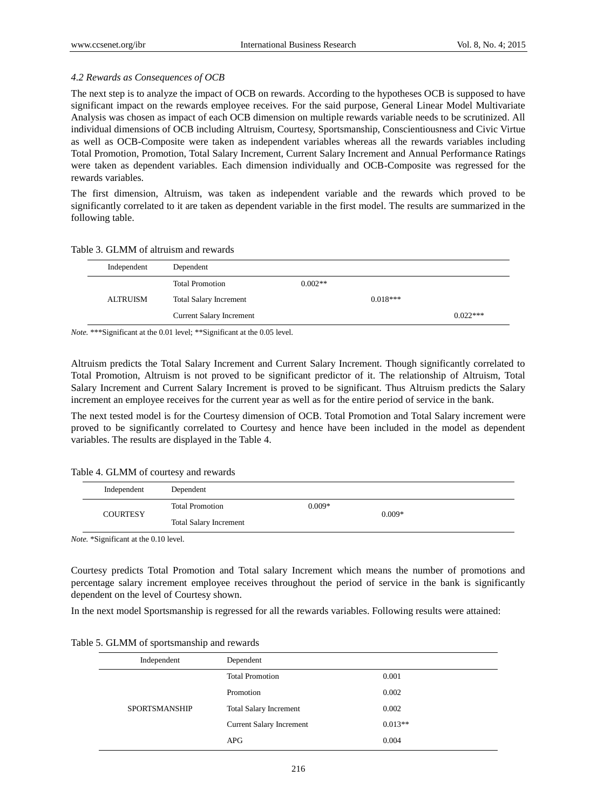## *4.2 Rewards as Consequences of OCB*

The next step is to analyze the impact of OCB on rewards. According to the hypotheses OCB is supposed to have significant impact on the rewards employee receives. For the said purpose, General Linear Model Multivariate Analysis was chosen as impact of each OCB dimension on multiple rewards variable needs to be scrutinized. All individual dimensions of OCB including Altruism, Courtesy, Sportsmanship, Conscientiousness and Civic Virtue as well as OCB-Composite were taken as independent variables whereas all the rewards variables including Total Promotion, Promotion, Total Salary Increment, Current Salary Increment and Annual Performance Ratings were taken as dependent variables. Each dimension individually and OCB-Composite was regressed for the rewards variables.

The first dimension, Altruism, was taken as independent variable and the rewards which proved to be significantly correlated to it are taken as dependent variable in the first model. The results are summarized in the following table.

| Independent | Dependent                       |            |            |
|-------------|---------------------------------|------------|------------|
|             | <b>Total Promotion</b>          | $0.002**$  |            |
| ALTRUISM    | <b>Total Salary Increment</b>   | $0.018***$ |            |
|             | <b>Current Salary Increment</b> |            | $0.022***$ |

Table 3. GLMM of altruism and rewards

*Note.* \*\*\*Significant at the 0.01 level; \*\*Significant at the 0.05 level.

Altruism predicts the Total Salary Increment and Current Salary Increment. Though significantly correlated to Total Promotion, Altruism is not proved to be significant predictor of it. The relationship of Altruism, Total Salary Increment and Current Salary Increment is proved to be significant. Thus Altruism predicts the Salary increment an employee receives for the current year as well as for the entire period of service in the bank.

The next tested model is for the Courtesy dimension of OCB. Total Promotion and Total Salary increment were proved to be significantly correlated to Courtesy and hence have been included in the model as dependent variables. The results are displayed in the Table 4.

Table 4. GLMM of courtesy and rewards

| Independent     | Dependent                     |          |          |  |
|-----------------|-------------------------------|----------|----------|--|
| <b>COURTESY</b> | <b>Total Promotion</b>        | $0.009*$ | $0.009*$ |  |
|                 | <b>Total Salary Increment</b> |          |          |  |

*Note.* \*Significant at the 0.10 level.

Courtesy predicts Total Promotion and Total salary Increment which means the number of promotions and percentage salary increment employee receives throughout the period of service in the bank is significantly dependent on the level of Courtesy shown.

In the next model Sportsmanship is regressed for all the rewards variables. Following results were attained:

|  | Table 5. GLMM of sportsmanship and rewards |  |  |  |  |  |
|--|--------------------------------------------|--|--|--|--|--|
|--|--------------------------------------------|--|--|--|--|--|

| Independent          | Dependent                       |           |
|----------------------|---------------------------------|-----------|
|                      | <b>Total Promotion</b>          | 0.001     |
|                      | Promotion                       | 0.002     |
| <b>SPORTSMANSHIP</b> | <b>Total Salary Increment</b>   | 0.002     |
|                      | <b>Current Salary Increment</b> | $0.013**$ |
|                      | APG                             | 0.004     |
|                      |                                 |           |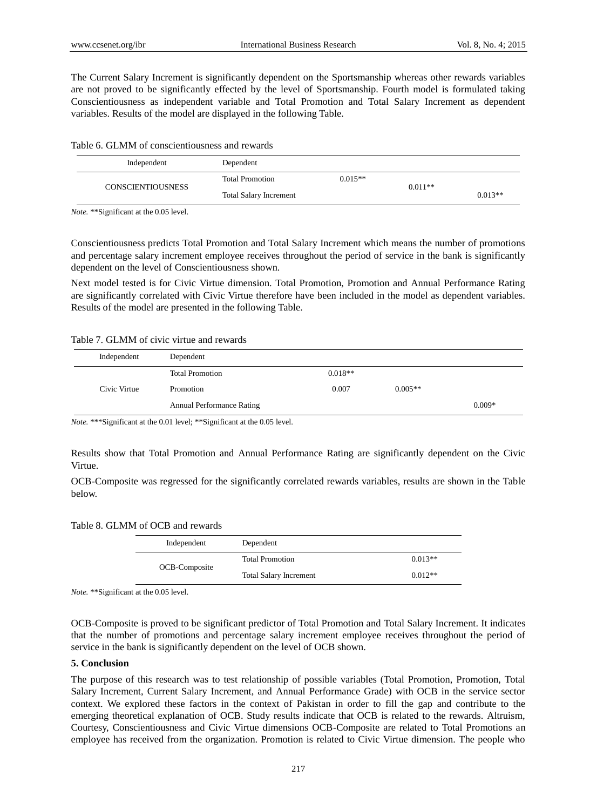The Current Salary Increment is significantly dependent on the Sportsmanship whereas other rewards variables are not proved to be significantly effected by the level of Sportsmanship. Fourth model is formulated taking Conscientiousness as independent variable and Total Promotion and Total Salary Increment as dependent variables. Results of the model are displayed in the following Table.

|  | Table 6. GLMM of conscientiousness and rewards |  |
|--|------------------------------------------------|--|
|--|------------------------------------------------|--|

| Independent              | Dependent                     |           |           |           |
|--------------------------|-------------------------------|-----------|-----------|-----------|
| <b>CONSCIENTIOUSNESS</b> | <b>Total Promotion</b>        | $0.015**$ | $0.011**$ |           |
|                          | <b>Total Salary Increment</b> |           |           | $0.013**$ |

*Note.* \*\*Significant at the 0.05 level.

Conscientiousness predicts Total Promotion and Total Salary Increment which means the number of promotions and percentage salary increment employee receives throughout the period of service in the bank is significantly dependent on the level of Conscientiousness shown.

Next model tested is for Civic Virtue dimension. Total Promotion, Promotion and Annual Performance Rating are significantly correlated with Civic Virtue therefore have been included in the model as dependent variables. Results of the model are presented in the following Table.

#### Table 7. GLMM of civic virtue and rewards

| Independent  | Dependent                        |           |           |          |
|--------------|----------------------------------|-----------|-----------|----------|
|              | <b>Total Promotion</b>           | $0.018**$ |           |          |
| Civic Virtue | Promotion                        | 0.007     | $0.005**$ |          |
|              | <b>Annual Performance Rating</b> |           |           | $0.009*$ |

*Note.* \*\*\*Significant at the 0.01 level; \*\*Significant at the 0.05 level.

Results show that Total Promotion and Annual Performance Rating are significantly dependent on the Civic Virtue.

OCB-Composite was regressed for the significantly correlated rewards variables, results are shown in the Table below.

Table 8. GLMM of OCB and rewards

| Independent   | Dependent                     |           |
|---------------|-------------------------------|-----------|
|               | <b>Total Promotion</b>        | $0.013**$ |
| OCB-Composite | <b>Total Salary Increment</b> | $0.012**$ |

*Note.* \*\*Significant at the 0.05 level.

OCB-Composite is proved to be significant predictor of Total Promotion and Total Salary Increment. It indicates that the number of promotions and percentage salary increment employee receives throughout the period of service in the bank is significantly dependent on the level of OCB shown.

#### **5. Conclusion**

The purpose of this research was to test relationship of possible variables (Total Promotion, Promotion, Total Salary Increment, Current Salary Increment, and Annual Performance Grade) with OCB in the service sector context. We explored these factors in the context of Pakistan in order to fill the gap and contribute to the emerging theoretical explanation of OCB. Study results indicate that OCB is related to the rewards. Altruism, Courtesy, Conscientiousness and Civic Virtue dimensions OCB-Composite are related to Total Promotions an employee has received from the organization. Promotion is related to Civic Virtue dimension. The people who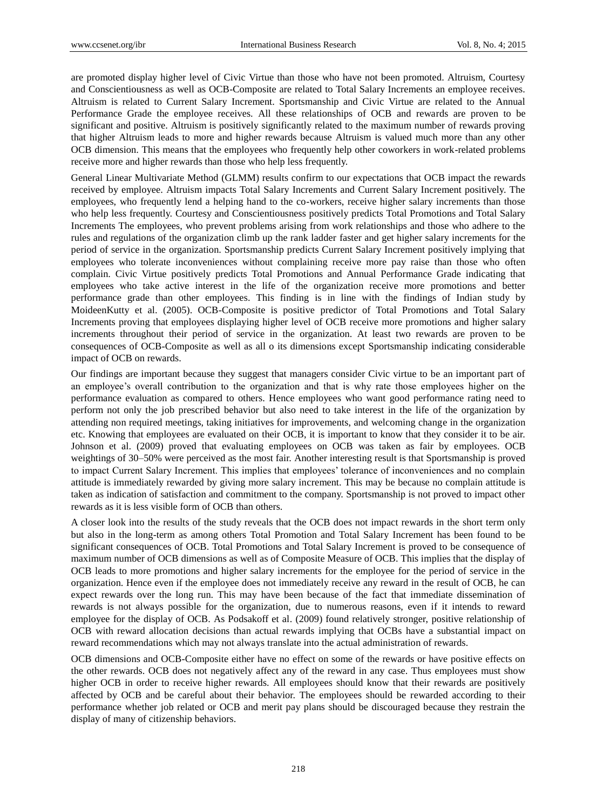are promoted display higher level of Civic Virtue than those who have not been promoted. Altruism, Courtesy and Conscientiousness as well as OCB-Composite are related to Total Salary Increments an employee receives. Altruism is related to Current Salary Increment. Sportsmanship and Civic Virtue are related to the Annual Performance Grade the employee receives. All these relationships of OCB and rewards are proven to be significant and positive. Altruism is positively significantly related to the maximum number of rewards proving that higher Altruism leads to more and higher rewards because Altruism is valued much more than any other OCB dimension. This means that the employees who frequently help other coworkers in work-related problems receive more and higher rewards than those who help less frequently.

General Linear Multivariate Method (GLMM) results confirm to our expectations that OCB impact the rewards received by employee. Altruism impacts Total Salary Increments and Current Salary Increment positively. The employees, who frequently lend a helping hand to the co-workers, receive higher salary increments than those who help less frequently. Courtesy and Conscientiousness positively predicts Total Promotions and Total Salary Increments The employees, who prevent problems arising from work relationships and those who adhere to the rules and regulations of the organization climb up the rank ladder faster and get higher salary increments for the period of service in the organization. Sportsmanship predicts Current Salary Increment positively implying that employees who tolerate inconveniences without complaining receive more pay raise than those who often complain. Civic Virtue positively predicts Total Promotions and Annual Performance Grade indicating that employees who take active interest in the life of the organization receive more promotions and better performance grade than other employees. This finding is in line with the findings of Indian study by MoideenKutty et al. (2005). OCB-Composite is positive predictor of Total Promotions and Total Salary Increments proving that employees displaying higher level of OCB receive more promotions and higher salary increments throughout their period of service in the organization. At least two rewards are proven to be consequences of OCB-Composite as well as all o its dimensions except Sportsmanship indicating considerable impact of OCB on rewards.

Our findings are important because they suggest that managers consider Civic virtue to be an important part of an employee's overall contribution to the organization and that is why rate those employees higher on the performance evaluation as compared to others. Hence employees who want good performance rating need to perform not only the job prescribed behavior but also need to take interest in the life of the organization by attending non required meetings, taking initiatives for improvements, and welcoming change in the organization etc. Knowing that employees are evaluated on their OCB, it is important to know that they consider it to be air. Johnson et al. (2009) proved that evaluating employees on OCB was taken as fair by employees. OCB weightings of 30–50% were perceived as the most fair. Another interesting result is that Sportsmanship is proved to impact Current Salary Increment. This implies that employees' tolerance of inconveniences and no complain attitude is immediately rewarded by giving more salary increment. This may be because no complain attitude is taken as indication of satisfaction and commitment to the company. Sportsmanship is not proved to impact other rewards as it is less visible form of OCB than others.

A closer look into the results of the study reveals that the OCB does not impact rewards in the short term only but also in the long-term as among others Total Promotion and Total Salary Increment has been found to be significant consequences of OCB. Total Promotions and Total Salary Increment is proved to be consequence of maximum number of OCB dimensions as well as of Composite Measure of OCB. This implies that the display of OCB leads to more promotions and higher salary increments for the employee for the period of service in the organization. Hence even if the employee does not immediately receive any reward in the result of OCB, he can expect rewards over the long run. This may have been because of the fact that immediate dissemination of rewards is not always possible for the organization, due to numerous reasons, even if it intends to reward employee for the display of OCB. As Podsakoff et al. (2009) found relatively stronger, positive relationship of OCB with reward allocation decisions than actual rewards implying that OCBs have a substantial impact on reward recommendations which may not always translate into the actual administration of rewards.

OCB dimensions and OCB-Composite either have no effect on some of the rewards or have positive effects on the other rewards. OCB does not negatively affect any of the reward in any case. Thus employees must show higher OCB in order to receive higher rewards. All employees should know that their rewards are positively affected by OCB and be careful about their behavior. The employees should be rewarded according to their performance whether job related or OCB and merit pay plans should be discouraged because they restrain the display of many of citizenship behaviors.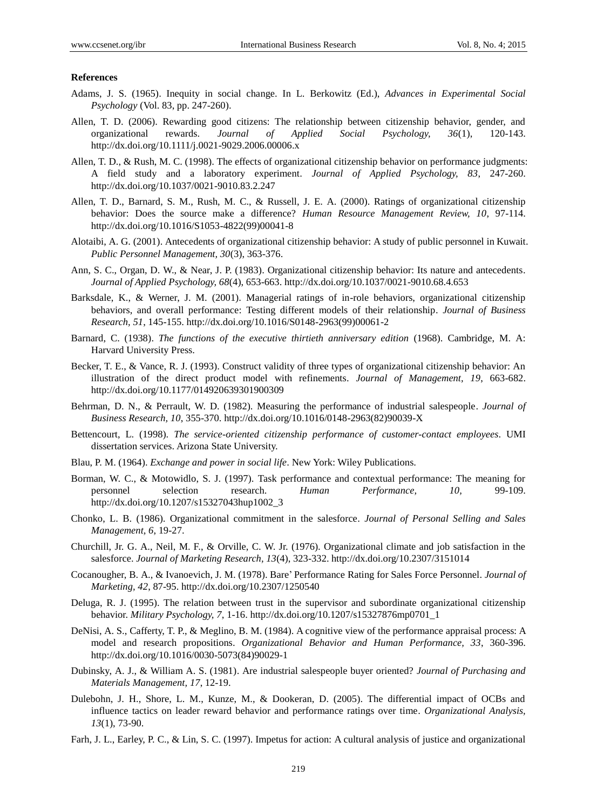#### **References**

- Adams, J. S. (1965). Inequity in social change. In L. Berkowitz (Ed.), *Advances in Experimental Social Psychology* (Vol. 83, pp. 247-260).
- Allen, T. D. (2006). Rewarding good citizens: The relationship between citizenship behavior, gender, and organizational rewards. *Journal of Applied Social Psychology, 36*(1), 120-143. http://dx.doi.org/10.1111/j.0021-9029.2006.00006.x
- Allen, T. D., & Rush, M. C. (1998). The effects of organizational citizenship behavior on performance judgments: A field study and a laboratory experiment. *Journal of Applied Psychology, 83*, 247-260. http://dx.doi.org/10.1037/0021-9010.83.2.247
- Allen, T. D., Barnard, S. M., Rush, M. C., & Russell, J. E. A. (2000). Ratings of organizational citizenship behavior: Does the source make a difference? *Human Resource Management Review, 10*, 97-114. http://dx.doi.org/10.1016/S1053-4822(99)00041-8
- Alotaibi, A. G. (2001). Antecedents of organizational citizenship behavior: A study of public personnel in Kuwait. *Public Personnel Management, 30*(3), 363-376.
- Ann, S. C., Organ, D. W., & Near, J. P. (1983). Organizational citizenship behavior: Its nature and antecedents. *Journal of Applied Psychology, 68*(4), 653-663. http://dx.doi.org/10.1037/0021-9010.68.4.653
- Barksdale, K., & Werner, J. M. (2001). Managerial ratings of in-role behaviors, organizational citizenship behaviors, and overall performance: Testing different models of their relationship. *Journal of Business Research, 51*, 145-155. http://dx.doi.org/10.1016/S0148-2963(99)00061-2
- Barnard, C. (1938). *The functions of the executive thirtieth anniversary edition* (1968). Cambridge, M. A: Harvard University Press.
- Becker, T. E., & Vance, R. J. (1993). Construct validity of three types of organizational citizenship behavior: An illustration of the direct product model with refinements. *Journal of Management, 19*, 663-682. http://dx.doi.org/10.1177/014920639301900309
- Behrman, D. N., & Perrault, W. D. (1982). Measuring the performance of industrial salespeople. *Journal of Business Research, 10*, 355-370. http://dx.doi.org/10.1016/0148-2963(82)90039-X
- Bettencourt, L. (1998). *The service-oriented citizenship performance of customer-contact employees*. UMI dissertation services. Arizona State University.
- Blau, P. M. (1964). *Exchange and power in social life*. New York: Wiley Publications.
- Borman, W. C., & Motowidlo, S. J. (1997). Task performance and contextual performance: The meaning for personnel selection research. *Human Performance, 10,* 99-109. http://dx.doi.org/10.1207/s15327043hup1002\_3
- Chonko, L. B. (1986). Organizational commitment in the salesforce. *Journal of Personal Selling and Sales Management, 6*, 19-27.
- Churchill, Jr. G. A., Neil, M. F., & Orville, C. W. Jr. (1976). Organizational climate and job satisfaction in the salesforce. *Journal of Marketing Research, 13*(4), 323-332. http://dx.doi.org/10.2307/3151014
- Cocanougher, B. A., & Ivanoevich, J. M. (1978). Bare" Performance Rating for Sales Force Personnel. *Journal of Marketing, 42*, 87-95. http://dx.doi.org/10.2307/1250540
- Deluga, R. J. (1995). The relation between trust in the supervisor and subordinate organizational citizenship behavior. *Military Psychology, 7*, 1-16. http://dx.doi.org/10.1207/s15327876mp0701\_1
- DeNisi, A. S., Cafferty, T. P., & Meglino, B. M. (1984). A cognitive view of the performance appraisal process: A model and research propositions. *Organizational Behavior and Human Performance, 33*, 360-396. http://dx.doi.org/10.1016/0030-5073(84)90029-1
- Dubinsky, A. J., & William A. S. (1981). Are industrial salespeople buyer oriented? *Journal of Purchasing and Materials Management, 17*, 12-19.
- Dulebohn, J. H., Shore, L. M., Kunze, M., & Dookeran, D. (2005). The differential impact of OCBs and influence tactics on leader reward behavior and performance ratings over time. *Organizational Analysis, 13*(1), 73-90.
- Farh, J. L., Earley, P. C., & Lin, S. C. (1997). Impetus for action: A cultural analysis of justice and organizational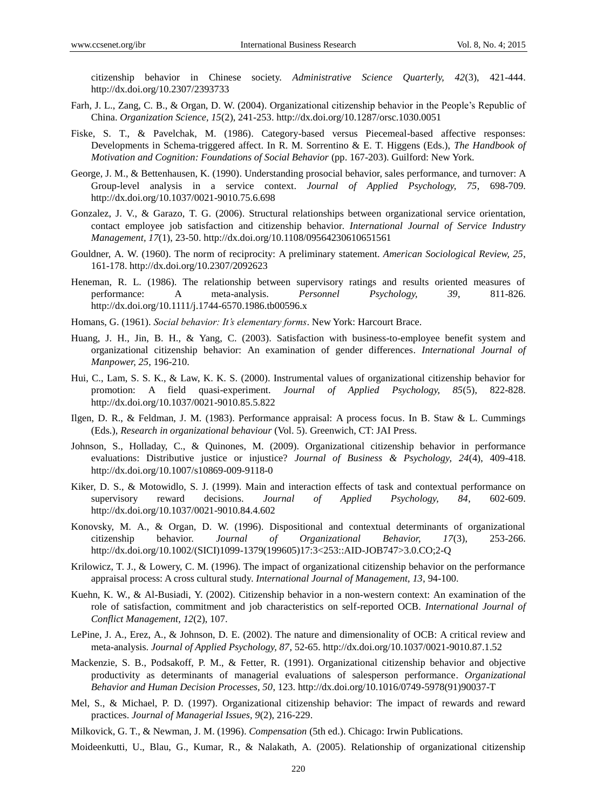citizenship behavior in Chinese society. *Administrative Science Quarterly, 42*(3), 421-444. http://dx.doi.org/10.2307/2393733

- Farh, J. L., Zang, C. B., & Organ, D. W. (2004). Organizational citizenship behavior in the People"s Republic of China. *Organization Science, 15*(2), 241-253. http://dx.doi.org/10.1287/orsc.1030.0051
- Fiske, S. T., & Pavelchak, M. (1986). Category-based versus Piecemeal-based affective responses: Developments in Schema-triggered affect. In R. M. Sorrentino & E. T. Higgens (Eds.), *The Handbook of Motivation and Cognition: Foundations of Social Behavior* (pp. 167-203). Guilford: New York.
- George, J. M., & Bettenhausen, K. (1990). Understanding prosocial behavior, sales performance, and turnover: A Group-level analysis in a service context. *Journal of Applied Psychology, 75*, 698-709. http://dx.doi.org/10.1037/0021-9010.75.6.698
- Gonzalez, J. V., & Garazo, T. G. (2006). Structural relationships between organizational service orientation, contact employee job satisfaction and citizenship behavior. *International Journal of Service Industry Management, 17*(1), 23-50. http://dx.doi.org/10.1108/09564230610651561
- Gouldner, A. W. (1960). The norm of reciprocity: A preliminary statement. *American Sociological Review, 25*, 161-178. http://dx.doi.org/10.2307/2092623
- Heneman, R. L. (1986). The relationship between supervisory ratings and results oriented measures of performance: A meta-analysis. *Personnel Psychology, 39*, 811-826. http://dx.doi.org/10.1111/j.1744-6570.1986.tb00596.x
- Homans, G. (1961). *Social behavior: It's elementary forms*. New York: Harcourt Brace.
- Huang, J. H., Jin, B. H., & Yang, C. (2003). Satisfaction with business-to-employee benefit system and organizational citizenship behavior: An examination of gender differences. *International Journal of Manpower, 25*, 196-210.
- Hui, C., Lam, S. S. K., & Law, K. K. S. (2000). Instrumental values of organizational citizenship behavior for promotion: A field quasi-experiment. *Journal of Applied Psychology, 85*(5), 822-828. http://dx.doi.org/10.1037/0021-9010.85.5.822
- Ilgen, D. R., & Feldman, J. M. (1983). Performance appraisal: A process focus. In B. Staw & L. Cummings (Eds.), *Research in organizational behaviour* (Vol. 5). Greenwich, CT: JAI Press.
- Johnson, S., Holladay, C., & Quinones, M. (2009). Organizational citizenship behavior in performance evaluations: Distributive justice or injustice? *Journal of Business & Psychology, 24*(4), 409-418. http://dx.doi.org/10.1007/s10869-009-9118-0
- Kiker, D. S., & Motowidlo, S. J. (1999). Main and interaction effects of task and contextual performance on supervisory reward decisions. *Journal of Applied Psychology, 84*, 602-609. http://dx.doi.org/10.1037/0021-9010.84.4.602
- Konovsky, M. A., & Organ, D. W. (1996). Dispositional and contextual determinants of organizational citizenship behavior. *Journal of Organizational Behavior, 17*(3), 253-266. http://dx.doi.org/10.1002/(SICI)1099-1379(199605)17:3<253::AID-JOB747>3.0.CO;2-Q
- Krilowicz, T. J., & Lowery, C. M. (1996). The impact of organizational citizenship behavior on the performance appraisal process: A cross cultural study. *International Journal of Management, 13*, 94-100.
- Kuehn, K. W., & Al-Busiadi, Y. (2002). Citizenship behavior in a non-western context: An examination of the role of satisfaction, commitment and job characteristics on self-reported OCB. *International Journal of Conflict Management, 12*(2), 107.
- LePine, J. A., Erez, A., & Johnson, D. E. (2002). The nature and dimensionality of OCB: A critical review and meta-analysis. *Journal of Applied Psychology, 87*, 52-65. http://dx.doi.org/10.1037/0021-9010.87.1.52
- Mackenzie, S. B., Podsakoff, P. M., & Fetter, R. (1991). Organizational citizenship behavior and objective productivity as determinants of managerial evaluations of salesperson performance. *Organizational Behavior and Human Decision Processes, 50*, 123. http://dx.doi.org/10.1016/0749-5978(91)90037-T
- Mel, S., & Michael, P. D. (1997). Organizational citizenship behavior: The impact of rewards and reward practices. *Journal of Managerial Issues, 9*(2), 216-229.
- Milkovick, G. T., & Newman, J. M. (1996). *Compensation* (5th ed.). Chicago: Irwin Publications.
- Moideenkutti, U., Blau, G., Kumar, R., & Nalakath, A. (2005). Relationship of organizational citizenship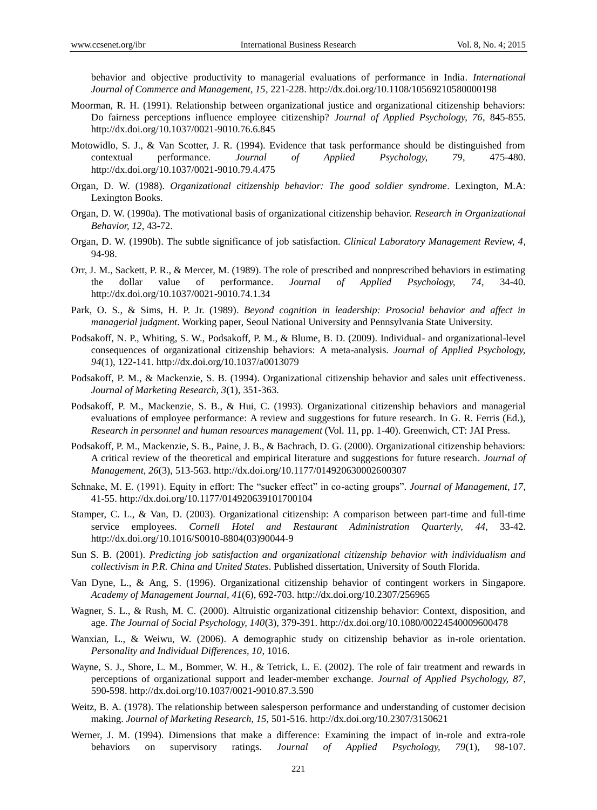behavior and objective productivity to managerial evaluations of performance in India. *International Journal of Commerce and Management, 15*, 221-228. http://dx.doi.org/10.1108/10569210580000198

- Moorman, R. H. (1991). Relationship between organizational justice and organizational citizenship behaviors: Do fairness perceptions influence employee citizenship? *Journal of Applied Psychology, 76*, 845-855. http://dx.doi.org/10.1037/0021-9010.76.6.845
- Motowidlo, S. J., & Van Scotter, J. R. (1994). Evidence that task performance should be distinguished from contextual performance. *Journal of Applied Psychology, 79*, 475-480. http://dx.doi.org/10.1037/0021-9010.79.4.475
- Organ, D. W. (1988). *Organizational citizenship behavior: The good soldier syndrome*. Lexington, M.A: Lexington Books.
- Organ, D. W. (1990a). The motivational basis of organizational citizenship behavior. *Research in Organizational Behavior, 12*, 43-72.
- Organ, D. W. (1990b). The subtle significance of job satisfaction. *Clinical Laboratory Management Review, 4*, 94-98.
- Orr, J. M., Sackett, P. R., & Mercer, M. (1989). The role of prescribed and nonprescribed behaviors in estimating the dollar value of performance. *Journal of Applied Psychology, 74*, 34-40. http://dx.doi.org/10.1037/0021-9010.74.1.34
- Park, O. S., & Sims, H. P. Jr. (1989). *Beyond cognition in leadership: Prosocial behavior and affect in managerial judgment*. Working paper, Seoul National University and Pennsylvania State University.
- Podsakoff, N. P., Whiting, S. W., Podsakoff, P. M., & Blume, B. D. (2009). Individual- and organizational-level consequences of organizational citizenship behaviors: A meta-analysis. *Journal of Applied Psychology, 94*(1), 122-141. http://dx.doi.org/10.1037/a0013079
- Podsakoff, P. M., & Mackenzie, S. B. (1994). Organizational citizenship behavior and sales unit effectiveness. *Journal of Marketing Research, 3*(1), 351-363.
- Podsakoff, P. M., Mackenzie, S. B., & Hui, C. (1993). Organizational citizenship behaviors and managerial evaluations of employee performance: A review and suggestions for future research. In G. R. Ferris (Ed.), *Research in personnel and human resources management* (Vol. 11, pp. 1-40). Greenwich, CT: JAI Press.
- Podsakoff, P. M., Mackenzie, S. B., Paine, J. B., & Bachrach, D. G. (2000). Organizational citizenship behaviors: A critical review of the theoretical and empirical literature and suggestions for future research. *Journal of Management, 26*(3), 513-563. http://dx.doi.org/10.1177/014920630002600307
- Schnake, M. E. (1991). Equity in effort: The "sucker effect" in co-acting groups". *Journal of Management, 17*, 41-55. http://dx.doi.org/10.1177/014920639101700104
- Stamper, C. L., & Van, D. (2003). Organizational citizenship: A comparison between part-time and full-time service employees. *Cornell Hotel and Restaurant Administration Quarterly, 44*, 33-42. http://dx.doi.org/10.1016/S0010-8804(03)90044-9
- Sun S. B. (2001). *Predicting job satisfaction and organizational citizenship behavior with individualism and collectivism in P.R. China and United States*. Published dissertation, University of South Florida.
- Van Dyne, L., & Ang, S. (1996). Organizational citizenship behavior of contingent workers in Singapore. *Academy of Management Journal, 41*(6), 692-703. http://dx.doi.org/10.2307/256965
- Wagner, S. L., & Rush, M. C. (2000). Altruistic organizational citizenship behavior: Context, disposition, and age. *The Journal of Social Psychology, 140*(3), 379-391. http://dx.doi.org/10.1080/00224540009600478
- Wanxian, L., & Weiwu, W. (2006). A demographic study on citizenship behavior as in-role orientation. *Personality and Individual Differences, 10*, 1016.
- Wayne, S. J., Shore, L. M., Bommer, W. H., & Tetrick, L. E. (2002). The role of fair treatment and rewards in perceptions of organizational support and leader-member exchange. *Journal of Applied Psychology, 87*, 590-598. http://dx.doi.org/10.1037/0021-9010.87.3.590
- Weitz, B. A. (1978). The relationship between salesperson performance and understanding of customer decision making. *Journal of Marketing Research, 15,* 501-516. http://dx.doi.org/10.2307/3150621
- Werner, J. M. (1994). Dimensions that make a difference: Examining the impact of in-role and extra-role behaviors on supervisory ratings. *Journal of Applied Psychology, 79*(1), 98-107.